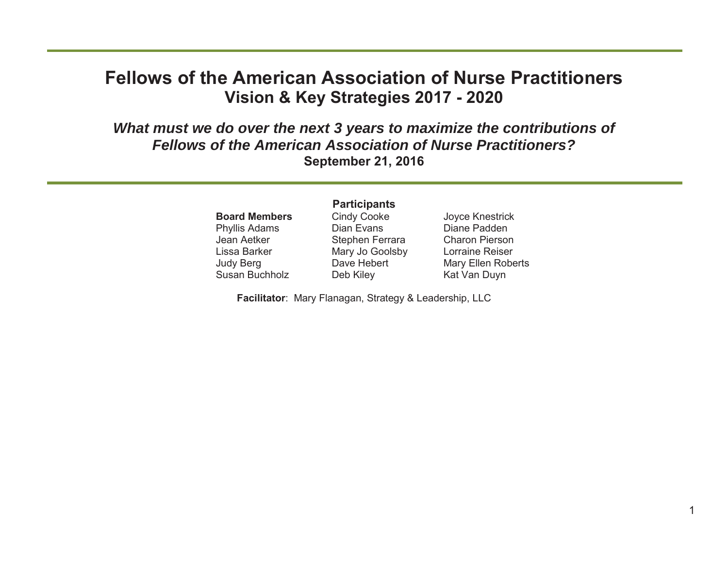#### **Fellows of the American Association of Nurse Practitioners Vision & Key Strategies 2017 - 2020**

*What must we do over the next 3 years to maximize the contributions of Fellows of the American Association of Nurse Practitioners?***September 21, 2016** 

> **Board Members** Phyllis Adams Jean AetkerLissa BarkerJudy Berg Susan Buchholz

#### **Participants**  Cindy Cooke Dian EvansStephen Ferrara Mary Jo Goolsby Dave Hebert

Joyce Knestrick Diane PaddenCharon PiersonLorraine ReiserMary Ellen Roberts Kat Van Duyn

**Facilitator**: Mary Flanagan, Strategy & Leadership, LLC

Deb Kiley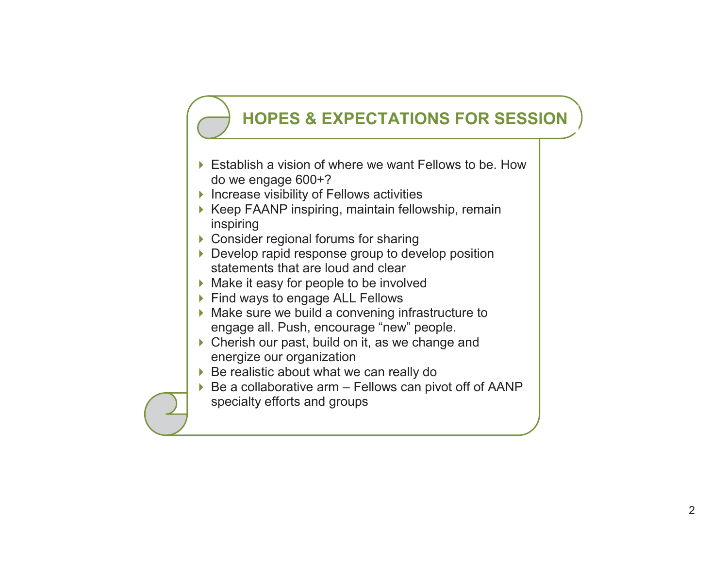# **HOPES & EXPECTATIONS FOR SESSION**

- ▶ Establish a vision of where we want Fellows to be. How do we engage 600+?
- $\blacktriangleright$  Increase visibility of Fellows activities
- ▶ Keep FAANP inspiring, maintain fellowship, remain inspiring
- ▶ Consider regional forums for sharing
- ▶ Develop rapid response group to develop position statements that are loud and clear
- ▶ Make it easy for people to be involved
- ▶ Find ways to engage ALL Fellows
- ▶ Make sure we build a convening infrastructure to engage all. Push, encourage "new" people.
- ▶ Cherish our past, build on it, as we change and energize our organization
- ▶ Be realistic about what we can really do
- $\triangleright$  Be a collaborative arm Fellows can pivot off of AANP specialty efforts and groups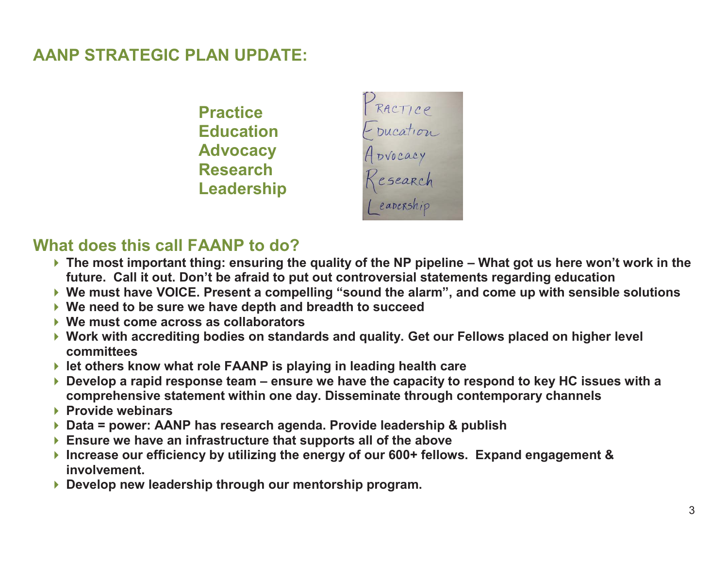#### **AANP STRATEGIC PLAN UPDATE:**

**Practice Education Advocacy Research Leadership** 



#### **What does this call FAANP to do?**

- ▶ The most important thing: ensuring the quality of the NP pipeline What got us here won't work in the **future. Call it out. Don't be afraid to put out controversial statements regarding education**
- **We must have VOICE. Present a compelling "sound the alarm", and come up with sensible solutions**
- **We need to be sure we have depth and breadth to succeed**
- **We must come across as collaborators**
- **Work with accrediting bodies on standards and quality. Get our Fellows placed on higher level committees**
- **let others know what role FAANP is playing in leading health care**
- ▶ Develop a rapid response team ensure we have the capacity to respond to key HC issues with a **comprehensive statement within one day. Disseminate through contemporary channels**
- **Provide webinars**
- **Data = power: AANP has research agenda. Provide leadership & publish**
- **Ensure we have an infrastructure that supports all of the above**
- **Increase our efficiency by utilizing the energy of our 600+ fellows. Expand engagement & involvement.**
- **Develop new leadership through our mentorship program.**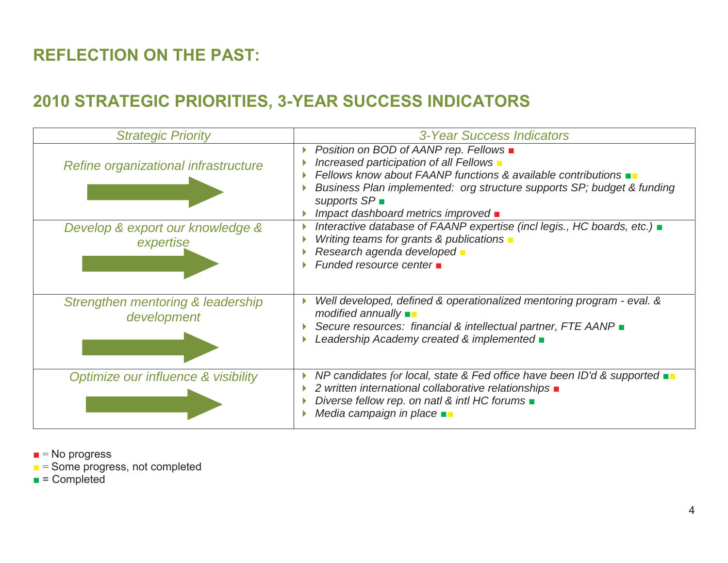## **REFLECTION ON THE PAST:**

## **2010 STRATEGIC PRIORITIES, 3-YEAR SUCCESS INDICATORS**

| <b>Strategic Priority</b>                        | 3-Year Success Indicators                                                                                                                                                                                                                                                                                                     |
|--------------------------------------------------|-------------------------------------------------------------------------------------------------------------------------------------------------------------------------------------------------------------------------------------------------------------------------------------------------------------------------------|
| Refine organizational infrastructure             | Position on BOD of AANP rep. Fellows ■<br>Increased participation of all Fellows $\blacksquare$<br>Fellows know about FAANP functions & available contributions $\blacksquare$<br>Business Plan implemented: org structure supports SP; budget & funding<br>supports $SP$<br>Impact dashboard metrics improved $\blacksquare$ |
| Develop & export our knowledge &<br>expertise    | Interactive database of FAANP expertise (incl legis., HC boards, etc.) <b>a</b><br>Writing teams for grants & publications $\blacksquare$<br>Research agenda developed -<br>Funded resource center <b>n</b>                                                                                                                   |
| Strengthen mentoring & leadership<br>development | Well developed, defined & operationalized mentoring program - eval. &<br>$modified$ annually $\blacksquare$<br>Secure resources: financial & intellectual partner, FTE AANP =<br>Leadership Academy created & implemented $\blacksquare$                                                                                      |
| Optimize our influence & visibility              | NP candidates for local, state & Fed office have been ID'd & supported $\blacksquare$<br>2 written international collaborative relationships $\blacksquare$<br>Diverse fellow rep. on natl & intl HC forums $\blacksquare$<br>Media campaign in place $\blacksquare$                                                          |

- $\blacksquare$  = No progress
- $\blacksquare$  = Some progress, not completed
- = Completed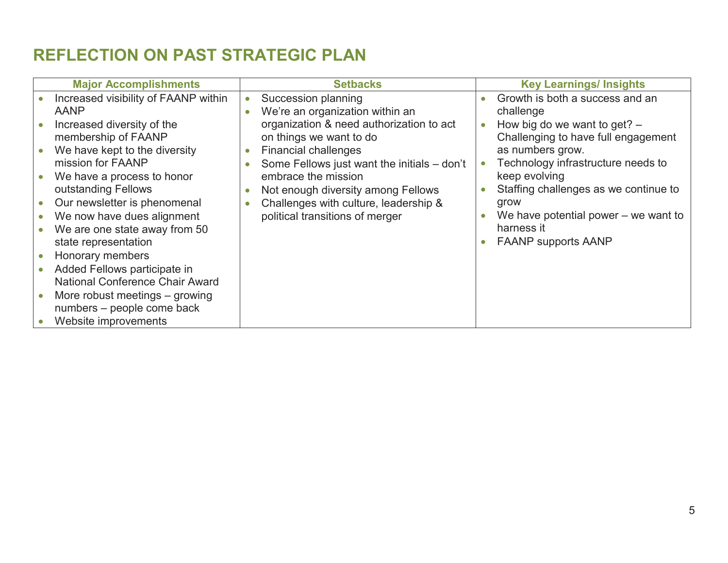### **REFLECTION ON PAST STRATEGIC PLAN**

| <b>Major Accomplishments</b>           |           | <b>Setbacks</b>                             | <b>Key Learnings/ Insights</b>         |
|----------------------------------------|-----------|---------------------------------------------|----------------------------------------|
| Increased visibility of FAANP within   | $\bullet$ | Succession planning                         | Growth is both a success and an        |
| <b>AANP</b>                            | $\bullet$ | We're an organization within an             | challenge                              |
| Increased diversity of the             |           | organization & need authorization to act    | How big do we want to get? $-$         |
| membership of FAANP                    |           | on things we want to do                     | Challenging to have full engagement    |
| We have kept to the diversity          | $\bullet$ | <b>Financial challenges</b>                 | as numbers grow.                       |
| mission for FAANP                      | $\bullet$ | Some Fellows just want the initials - don't | Technology infrastructure needs to     |
| We have a process to honor             |           | embrace the mission                         | keep evolving                          |
| outstanding Fellows                    | $\bullet$ | Not enough diversity among Fellows          | Staffing challenges as we continue to  |
| Our newsletter is phenomenal           | ٠         | Challenges with culture, leadership &       | grow                                   |
| We now have dues alignment             |           | political transitions of merger             | We have potential power $-$ we want to |
| We are one state away from 50          |           |                                             | harness it                             |
| state representation                   |           |                                             | <b>FAANP supports AANP</b>             |
| Honorary members                       |           |                                             |                                        |
| Added Fellows participate in           |           |                                             |                                        |
| <b>National Conference Chair Award</b> |           |                                             |                                        |
| More robust meetings – growing         |           |                                             |                                        |
| numbers - people come back             |           |                                             |                                        |
| Website improvements                   |           |                                             |                                        |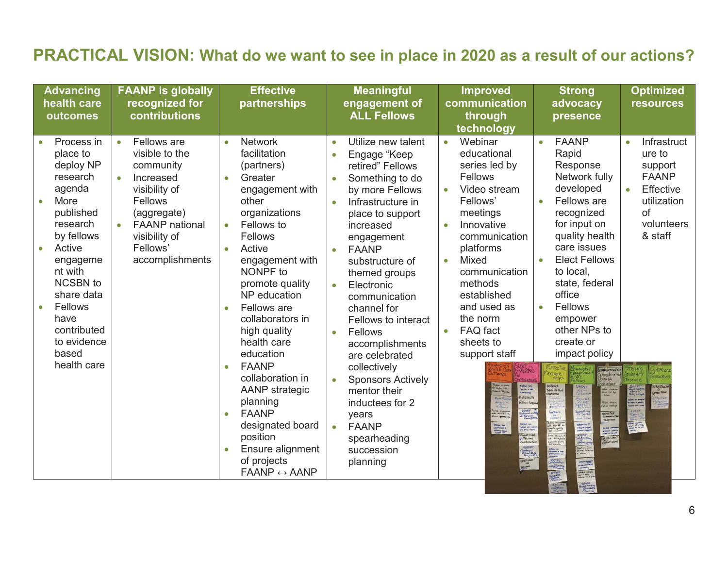#### **PRACTICAL VISION: What do we want to see in place in 2020 as a result of our actions?**

| <b>Advancing</b><br>health care<br>outcomes                                                                                                                                                                                                  | <b>FAANP is globally</b><br>recognized for<br>contributions                                                                                                                              | <b>Effective</b><br>partnerships                                                                                                                                                                                                                                                                                                                                                                                                                                                                                                                                         | <b>Meaningful</b><br>engagement of<br><b>ALL Fellows</b>                                                                                                                                                                                                                                                                                                                                                                                                                                                                                                                               | <b>Improved</b><br>communication<br>through<br>technology                                                                                                                                                                                                                                                                                                                                     | <b>Strong</b><br>advocacy<br>presence                                                                                                                                                                                                                                                                                                                                                                                                                                                                                       | <b>Optimized</b><br><b>resources</b>                                                                                                                                                                 |
|----------------------------------------------------------------------------------------------------------------------------------------------------------------------------------------------------------------------------------------------|------------------------------------------------------------------------------------------------------------------------------------------------------------------------------------------|--------------------------------------------------------------------------------------------------------------------------------------------------------------------------------------------------------------------------------------------------------------------------------------------------------------------------------------------------------------------------------------------------------------------------------------------------------------------------------------------------------------------------------------------------------------------------|----------------------------------------------------------------------------------------------------------------------------------------------------------------------------------------------------------------------------------------------------------------------------------------------------------------------------------------------------------------------------------------------------------------------------------------------------------------------------------------------------------------------------------------------------------------------------------------|-----------------------------------------------------------------------------------------------------------------------------------------------------------------------------------------------------------------------------------------------------------------------------------------------------------------------------------------------------------------------------------------------|-----------------------------------------------------------------------------------------------------------------------------------------------------------------------------------------------------------------------------------------------------------------------------------------------------------------------------------------------------------------------------------------------------------------------------------------------------------------------------------------------------------------------------|------------------------------------------------------------------------------------------------------------------------------------------------------------------------------------------------------|
| Process in<br>place to<br>deploy NP<br>research<br>agenda<br>More<br>published<br>research<br>by fellows<br>Active<br>engageme<br>nt with<br>NCSBN to<br>share data<br>Fellows<br>have<br>contributed<br>to evidence<br>based<br>health care | Fellows are<br>$\bullet$<br>visible to the<br>community<br>Increased<br>visibility of<br>Fellows<br>(aggregate)<br><b>FAANP</b> national<br>visibility of<br>Fellows'<br>accomplishments | <b>Network</b><br>$\bullet$<br>facilitation<br>(partners)<br>Greater<br>$\bullet$<br>engagement with<br>other<br>organizations<br>Fellows to<br>Fellows<br>Active<br>$\bullet$<br>engagement with<br>NONPF to<br>promote quality<br>NP education<br>Fellows are<br>$\bullet$<br>collaborators in<br>high quality<br>health care<br>education<br><b>FAANP</b><br>$\bullet$<br>collaboration in<br>AANP strategic<br>planning<br><b>FAANP</b><br>$\bullet$<br>designated board<br>position<br>Ensure alignment<br>$\bullet$<br>of projects<br>$FAANP \leftrightarrow AANP$ | Utilize new talent<br>$\bullet$<br>Engage "Keep<br>retired" Fellows<br>Something to do<br>$\bullet$<br>by more Fellows<br>Infrastructure in<br>$\bullet$<br>place to support<br>increased<br>engagement<br><b>FAANP</b><br>$\bullet$<br>substructure of<br>themed groups<br>Electronic<br>$\bullet$<br>communication<br>channel for<br>Fellows to interact<br>Fellows<br>$\bullet$<br>accomplishments<br>are celebrated<br>collectively<br><b>Sponsors Actively</b><br>mentor their<br>inductees for 2<br>years<br><b>FAANP</b><br>$\bullet$<br>spearheading<br>succession<br>planning | Webinar<br>$\bullet$<br>educational<br>series led by<br><b>Fellows</b><br>Video stream<br>$\bullet$<br>Fellows'<br>meetings<br>Innovative<br>$\bullet$<br>communication<br>platforms<br><b>Mixed</b><br>$\bullet$<br>communication<br>methods<br>established<br>and used as<br>the norm<br>FAQ fact<br>$\bullet$<br>sheets to<br>support staff<br><b>COMMANY</b><br>llows Coggn<br>Titles for | <b>FAANP</b><br>$\bullet$<br>Rapid<br>Response<br>Network fully<br>developed<br>Fellows are<br>$\bullet$<br>recognized<br>for input on<br>quality health<br>care issues<br><b>Elect Fellows</b><br>$\bullet$<br>to local,<br>state, federal<br>office<br>Fellows<br>$\bullet$<br>empower<br>other NPs to<br>create or<br>impact policy<br><b>ARTNER</b><br>Ship<br>NETWORK<br>FAGILITATION<br>PARTNIRS)<br>ide Hran<br>San Harby<br>Gomething<br>To Do We<br>Must Tillia<br>NAUVATIVE<br>Communicati<br><b>B FACT SHEET</b> | Infrastruct<br>$\bullet$<br>ure to<br>support<br><b>FAANP</b><br>Effective<br>$\bullet$<br>utilization<br>of<br>volunteers<br>& staff<br>East Art Kampin<br>Agas at grandiy<br>Adas chec color<br>Em |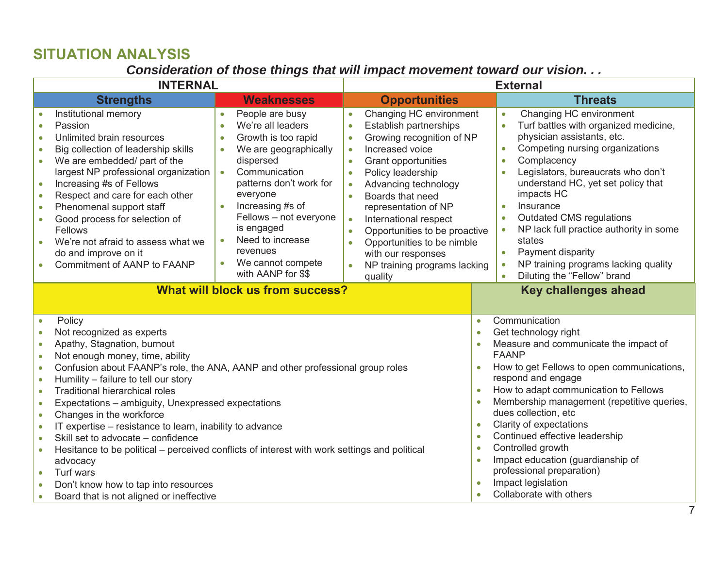#### **SITUATION ANALYSIS**

#### *Consideration of those things that will impact movement toward our vision. . .*

| <b>INTERNAL</b>                                                                                                                                                                                                                                                                                                                                                                                                                                                                                                                                                                                                                                                                                                                                                                                                                                                              |                                                                                                                                                                                                                                                                                                                                                                                             | <b>External</b>                                                                                                                                                                                                                                                                                                                                                                                                                                                                                                     |                                                                                                                                                                                                                                                                                                                                                                                                                                                                                                                           |  |  |
|------------------------------------------------------------------------------------------------------------------------------------------------------------------------------------------------------------------------------------------------------------------------------------------------------------------------------------------------------------------------------------------------------------------------------------------------------------------------------------------------------------------------------------------------------------------------------------------------------------------------------------------------------------------------------------------------------------------------------------------------------------------------------------------------------------------------------------------------------------------------------|---------------------------------------------------------------------------------------------------------------------------------------------------------------------------------------------------------------------------------------------------------------------------------------------------------------------------------------------------------------------------------------------|---------------------------------------------------------------------------------------------------------------------------------------------------------------------------------------------------------------------------------------------------------------------------------------------------------------------------------------------------------------------------------------------------------------------------------------------------------------------------------------------------------------------|---------------------------------------------------------------------------------------------------------------------------------------------------------------------------------------------------------------------------------------------------------------------------------------------------------------------------------------------------------------------------------------------------------------------------------------------------------------------------------------------------------------------------|--|--|
| <b>Strengths</b>                                                                                                                                                                                                                                                                                                                                                                                                                                                                                                                                                                                                                                                                                                                                                                                                                                                             | <b>Weaknesses</b>                                                                                                                                                                                                                                                                                                                                                                           | <b>Opportunities</b>                                                                                                                                                                                                                                                                                                                                                                                                                                                                                                | <b>Threats</b>                                                                                                                                                                                                                                                                                                                                                                                                                                                                                                            |  |  |
| Institutional memory<br>Passion<br>Unlimited brain resources<br>$\bullet$<br>Big collection of leadership skills<br>$\bullet$<br>We are embedded/ part of the<br>$\bullet$<br>largest NP professional organization<br>Increasing #s of Fellows<br>$\bullet$<br>Respect and care for each other<br>$\bullet$<br>Phenomenal support staff<br>$\bullet$<br>Good process for selection of<br>$\bullet$<br>Fellows<br>We're not afraid to assess what we<br>$\bullet$<br>do and improve on it<br><b>Commitment of AANP to FAANP</b>                                                                                                                                                                                                                                                                                                                                               | People are busy<br>$\bullet$<br>We're all leaders<br>$\bullet$<br>Growth is too rapid<br>$\bullet$<br>We are geographically<br>$\bullet$<br>dispersed<br>Communication<br>$\bullet$<br>patterns don't work for<br>everyone<br>Increasing #s of<br>$\bullet$<br>Fellows - not everyone<br>is engaged<br>Need to increase<br>$\bullet$<br>revenues<br>We cannot compete<br>with AANP for \$\$ | Changing HC environment<br>$\bullet$<br>Establish partnerships<br>$\bullet$<br>Growing recognition of NP<br>$\bullet$<br>Increased voice<br>$\bullet$<br><b>Grant opportunities</b><br>Policy leadership<br>$\bullet$<br>Advancing technology<br>$\bullet$<br>Boards that need<br>$\bullet$<br>representation of NP<br>International respect<br>$\bullet$<br>Opportunities to be proactive<br>$\bullet$<br>Opportunities to be nimble<br>$\bullet$<br>with our responses<br>NP training programs lacking<br>quality | Changing HC environment<br>$\bullet$<br>Turf battles with organized medicine,<br>$\bullet$<br>physician assistants, etc.<br>Competing nursing organizations<br>$\bullet$<br>Complacency<br>$\bullet$<br>Legislators, bureaucrats who don't<br>understand HC, yet set policy that<br>impacts HC<br>Insurance<br>$\bullet$<br><b>Outdated CMS regulations</b><br>$\bullet$<br>NP lack full practice authority in some<br>states<br>Payment disparity<br>NP training programs lacking quality<br>Diluting the "Fellow" brand |  |  |
|                                                                                                                                                                                                                                                                                                                                                                                                                                                                                                                                                                                                                                                                                                                                                                                                                                                                              | What will block us from success?                                                                                                                                                                                                                                                                                                                                                            |                                                                                                                                                                                                                                                                                                                                                                                                                                                                                                                     | <b>Key challenges ahead</b>                                                                                                                                                                                                                                                                                                                                                                                                                                                                                               |  |  |
| Policy<br>$\bullet$<br>Not recognized as experts<br>$\bullet$<br>Apathy, Stagnation, burnout<br>$\bullet$<br>Not enough money, time, ability<br>$\bullet$<br>Confusion about FAANP's role, the ANA, AANP and other professional group roles<br>$\bullet$<br>Humility - failure to tell our story<br>$\bullet$<br><b>Traditional hierarchical roles</b><br>$\bullet$<br>Expectations - ambiguity, Unexpressed expectations<br>$\bullet$<br>Changes in the workforce<br>$\bullet$<br>IT expertise - resistance to learn, inability to advance<br>$\bullet$<br>Skill set to advocate - confidence<br>$\bullet$<br>Hesitance to be political – perceived conflicts of interest with work settings and political<br>$\bullet$<br>advocacy<br>Turf wars<br>$\bullet$<br>Don't know how to tap into resources<br>$\bullet$<br>Board that is not aligned or ineffective<br>$\bullet$ |                                                                                                                                                                                                                                                                                                                                                                                             | $\bullet$<br>$\bullet$<br>$\bullet$<br>$\bullet$<br>$\bullet$<br>$\bullet$                                                                                                                                                                                                                                                                                                                                                                                                                                          | Communication<br>Get technology right<br>Measure and communicate the impact of<br><b>FAANP</b><br>How to get Fellows to open communications,<br>respond and engage<br>How to adapt communication to Fellows<br>Membership management (repetitive queries,<br>dues collection, etc<br>Clarity of expectations<br>Continued effective leadership<br>Controlled growth<br>Impact education (guardianship of<br>professional preparation)<br>Impact legislation<br>Collaborate with others                                    |  |  |